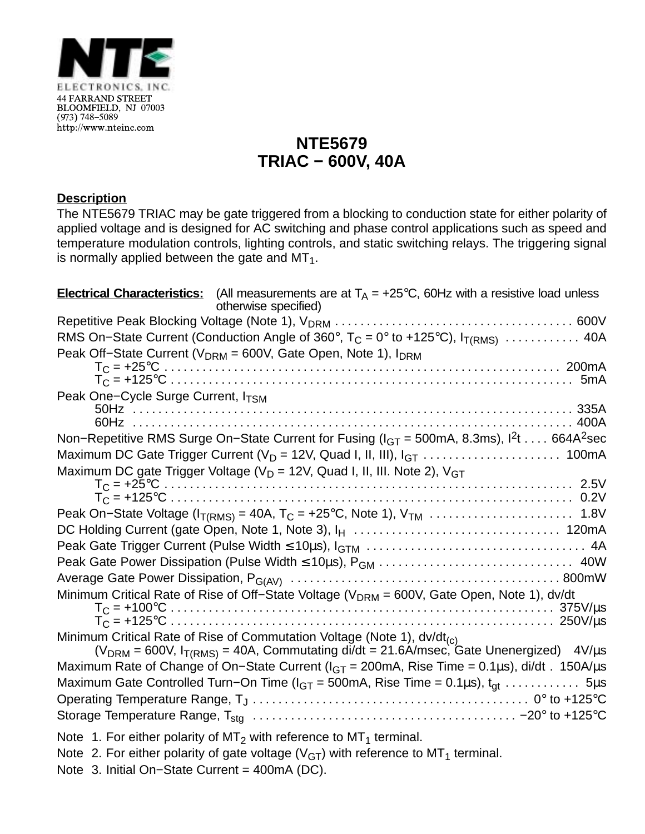

## **NTE5679 TRIAC − 600V, 40A**

## **Description**

The NTE5679 TRIAC may be gate triggered from a blocking to conduction state for either polarity of applied voltage and is designed for AC switching and phase control applications such as speed and temperature modulation controls, lighting controls, and static switching relays. The triggering signal is normally applied between the gate and  $MT<sub>1</sub>$ .

| <b>Electrical Characteristics:</b> (All measurements are at $T_A$ = +25°C, 60Hz with a resistive load unless<br>otherwise specified)                                                      |  |
|-------------------------------------------------------------------------------------------------------------------------------------------------------------------------------------------|--|
|                                                                                                                                                                                           |  |
| RMS On-State Current (Conduction Angle of 360°, $T_C = 0^\circ$ to +125°C), $I_{T(RMS)}$ 40A                                                                                              |  |
| Peak Off-State Current ( $V_{DRM}$ = 600V, Gate Open, Note 1), $I_{DRM}$                                                                                                                  |  |
|                                                                                                                                                                                           |  |
|                                                                                                                                                                                           |  |
| Peak One-Cycle Surge Current, ITSM                                                                                                                                                        |  |
|                                                                                                                                                                                           |  |
| Non-Repetitive RMS Surge On-State Current for Fusing ( $I_{GT}$ = 500mA, 8.3ms), $I^2t$ 664A <sup>2</sup> sec                                                                             |  |
|                                                                                                                                                                                           |  |
| Maximum DC gate Trigger Voltage ( $V_D$ = 12V, Quad I, II, III. Note 2), $V_{GT}$                                                                                                         |  |
|                                                                                                                                                                                           |  |
|                                                                                                                                                                                           |  |
|                                                                                                                                                                                           |  |
|                                                                                                                                                                                           |  |
|                                                                                                                                                                                           |  |
|                                                                                                                                                                                           |  |
|                                                                                                                                                                                           |  |
| Minimum Critical Rate of Rise of Off-State Voltage ( $V_{DRM}$ = 600V, Gate Open, Note 1), dv/dt                                                                                          |  |
|                                                                                                                                                                                           |  |
|                                                                                                                                                                                           |  |
| Minimum Critical Rate of Rise of Commutation Voltage (Note 1), dv/dt <sub>(c)</sub><br>$(V_{DRM} = 600V, I_{T(RMS)} = 40A$ , Commutating di/dt = 21.6A/msec, Gate Unenergized) $4V/\mu s$ |  |
| Maximum Rate of Change of On-State Current ( $I_{GT}$ = 200mA, Rise Time = 0.1µs), di/dt. 150A/µs                                                                                         |  |
| Maximum Gate Controlled Turn–On Time ( $I_{GT}$ = 500mA, Rise Time = 0.1 $\mu$ s), $t_{qt}$ 5 $\mu$ s                                                                                     |  |
|                                                                                                                                                                                           |  |
|                                                                                                                                                                                           |  |
|                                                                                                                                                                                           |  |
| Note 1. For either polarity of $MT_2$ with reference to $MT_1$ terminal.                                                                                                                  |  |
| Note 2. For either polarity of gate voltage ( $VGT$ ) with reference to MT <sub>1</sub> terminal.                                                                                         |  |
| Note 3. Initial On-State Current = 400mA (DC).                                                                                                                                            |  |